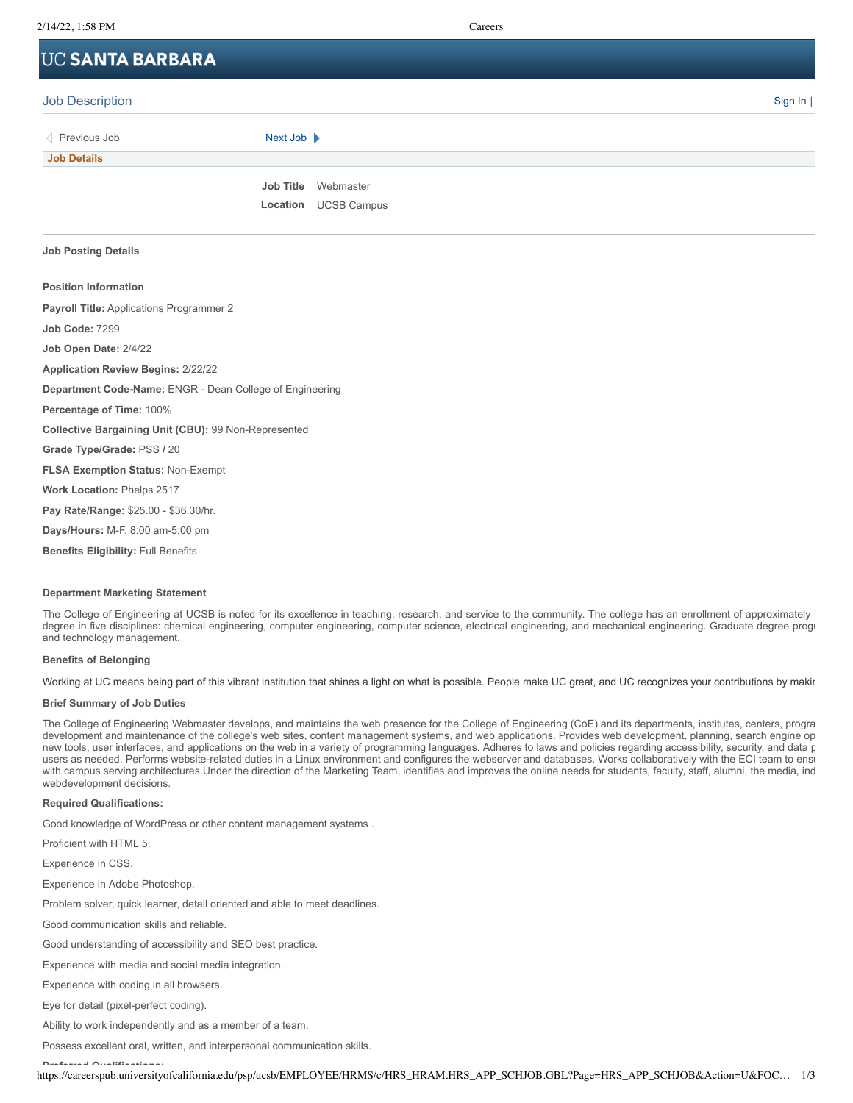# **UC SANTA BARBARA**

| <b>Job Description</b> |                             | <b>Contract Contract</b><br>Sign $\ln  $ |
|------------------------|-----------------------------|------------------------------------------|
| Previous Job           | Next Job                    |                                          |
| <b>Job Details</b>     |                             |                                          |
|                        | Job Title Webmaster         |                                          |
|                        | <b>Location UCSB Campus</b> |                                          |

# **Job Posting Details**

# **Position Information**

**Payroll Title:** Applications Programmer 2 **Job Code:** 7299 **Job Open Date:** 2/4/22 **Application Review Begins:** 2/22/22 **Department Code-Name:** ENGR - Dean College of Engineering **Percentage of Time:** 100% **Collective Bargaining Unit (CBU):** 99 Non-Represented **Grade Type/Grade:** PSS **/** 20 **FLSA Exemption Status:** Non-Exempt **Work Location:** Phelps 2517 **Pay Rate/Range:** \$25.00 - \$36.30/hr. **Days/Hours:** M-F, 8:00 am-5:00 pm

**Benefits Eligibility:** Full Benefits

# **Department Marketing Statement**

The College of Engineering at UCSB is noted for its excellence in teaching, research, and service to the community. The college has an enrollment of approximately degree in five disciplines: chemical engineering, computer engineering, computer science, electrical engineering, and mechanical engineering. Graduate degree progr and technology management.

#### **Benefits of Belonging**

Working at UC means being part of this vibrant institution that shines a light on what is possible. People make UC great, and UC recognizes your contributions by makir

# **Brief Summary of Job Duties**

The College of Engineering Webmaster develops, and maintains the web presence for the College of Engineering (CoE) and its departments, institutes, centers, progra development and maintenance of the college's web sites, content management systems, and web applications. Provides web development, planning, search engine op new tools, user interfaces, and applications on the web in a variety of programming languages. Adheres to laws and policies regarding accessibility, security, and data p users as needed. Performs website-related duties in a Linux environment and configures the webserver and databases. Works collaboratively with the ECI team to ensu with campus serving architectures.Under the direction of the Marketing Team, identifies and improves the online needs for students, faculty, staff, alumni, the media, ind webdevelopment decisions.

#### **Required Qualifications:**

Good knowledge of WordPress or other content management systems .

Proficient with HTML 5.

Experience in CSS.

Experience in Adobe Photoshop.

Problem solver, quick learner, detail oriented and able to meet deadlines.

Good communication skills and reliable.

Good understanding of accessibility and SEO best practice.

Experience with media and social media integration.

Experience with coding in all browsers.

Eye for detail (pixel-perfect coding).

Ability to work independently and as a member of a team.

Possess excellent oral, written, and interpersonal communication skills.

**Preferred Qualifications:**

https://careerspub.universityofcalifornia.edu/psp/ucsb/EMPLOYEE/HRMS/c/HRS\_HRAM.HRS\_APP\_SCHJOB.GBL?Page=HRS\_APP\_SCHJOB&Action=U&FOC… 1/3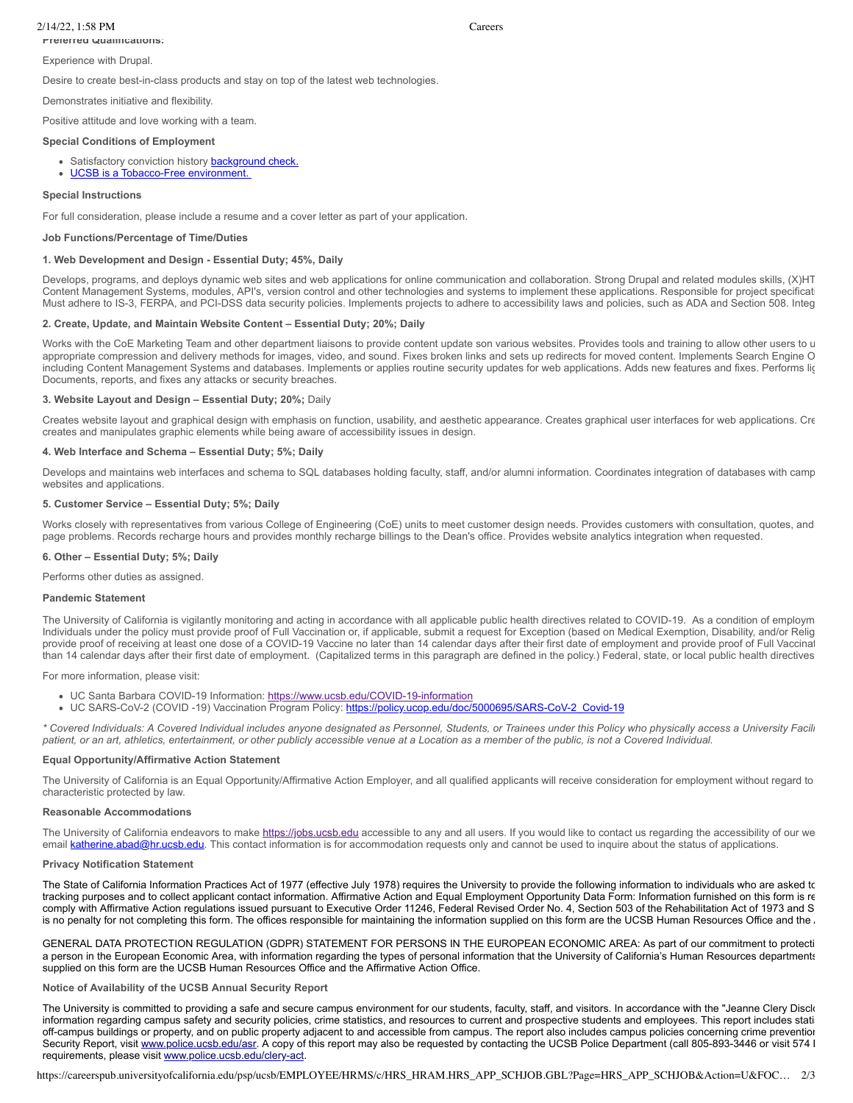# 2/14/22, 1:58 PM Careers

# **Preferred Qualifications:**

Experience with Drupal.

Desire to create best-in-class products and stay on top of the latest web technologies.

Demonstrates initiative and flexibility.

Positive attitude and love working with a team.

#### **Special Conditions of Employment**

- Satisfactory conviction history **[background check.](https://www.hr.ucsb.edu/hr-units/talent-acquisition/all-about-background-checks)**
- [UCSB is a Tobacco-Free environment.](https://tobaccofree.ucsb.edu/policy)

# **Special Instructions**

For full consideration, please include a resume and a cover letter as part of your application.

#### **Job Functions/Percentage of Time/Duties**

#### **1. Web Development and Design - Essential Duty; 45%, Daily**

Develops, programs, and deploys dynamic web sites and web applications for online communication and collaboration. Strong Drupal and related modules skills, (X)HT Content Management Systems, modules, API's, version control and other technologies and systems to implement these applications. Responsible for project specificati Must adhere to IS-3, FERPA, and PCI-DSS data security policies. Implements projects to adhere to accessibility laws and policies, such as ADA and Section 508. Integ

### **2. Create, Update, and Maintain Website Content – Essential Duty; 20%; Daily**

Works with the CoE Marketing Team and other department liaisons to provide content update son various websites. Provides tools and training to allow other users to u appropriate compression and delivery methods for images, video, and sound. Fixes broken links and sets up redirects for moved content. Implements Search Engine O including Content Management Systems and databases. Implements or applies routine security updates for web applications. Adds new features and fixes. Performs lig Documents, reports, and fixes any attacks or security breaches.

#### **3. Website Layout and Design – Essential Duty; 20%;** Daily

Creates website layout and graphical design with emphasis on function, usability, and aesthetic appearance. Creates graphical user interfaces for web applications. Cre creates and manipulates graphic elements while being aware of accessibility issues in design.

#### **4. Web Interface and Schema – Essential Duty; 5%; Daily**

Develops and maintains web interfaces and schema to SQL databases holding faculty, staff, and/or alumni information. Coordinates integration of databases with camp websites and applications.

# **5. Customer Service – Essential Duty; 5%; Daily**

Works closely with representatives from various College of Engineering (CoE) units to meet customer design needs. Provides customers with consultation, quotes, and page problems. Records recharge hours and provides monthly recharge billings to the Dean's office. Provides website analytics integration when requested.

#### **6. Other – Essential Duty; 5%; Daily**

Performs other duties as assigned.

#### **Pandemic Statement**

The University of California is vigilantly monitoring and acting in accordance with all applicable public health directives related to COVID-19. As a condition of employm Individuals under the policy must provide proof of Full Vaccination or, if applicable, submit a request for Exception (based on Medical Exemption, Disability, and/or Relig provide proof of receiving at least one dose of a COVID-19 Vaccine no later than 14 calendar days after their first date of employment and provide proof of Full Vaccinat than 14 calendar days after their first date of employment. (Capitalized terms in this paragraph are defined in the policy.) Federal, state, or local public health directives

For more information, please visit:

- UC Santa Barbara COVID-19 Information: <https://www.ucsb.edu/COVID-19-information>
- UC SARS-CoV-2 (COVID -19) Vaccination Program Policy: [https://policy.ucop.edu/doc/5000695/SARS-CoV-2\\_Covid-19](https://policy.ucop.edu/doc/5000695/SARS-CoV-2_Covid-19)

*\* Covered Individuals: A Covered Individual includes anyone designated as Personnel, Students, or Trainees under this Policy who physically access a University Facili patient, or an art, athletics, entertainment, or other publicly accessible venue at a Location as a member of the public, is not a Covered Individual.*

#### **Equal Opportunity/Affirmative Action Statement**

The University of California is an Equal Opportunity/Affirmative Action Employer, and all qualified applicants will receive consideration for employment without regard to characteristic protected by law.

#### **Reasonable Accommodations**

The University of California endeavors to make [https://jobs.ucsb.edu](https://jobs.ucsb.edu/) accessible to any and all users. If you would like to contact us regarding the accessibility of our we email [katherine.abad@hr.ucsb.edu.](file:///C:/Users/User/Desktop/katherine.abad@hr.ucsb.edu) This contact information is for accommodation requests only and cannot be used to inquire about the status of applications.

#### **Privacy Notification Statement**

The State of California Information Practices Act of 1977 (effective July 1978) requires the University to provide the following information to individuals who are asked to tracking purposes and to collect applicant contact information. Affirmative Action and Equal Employment Opportunity Data Form: Information furnished on this form is re comply with Affirmative Action regulations issued pursuant to Executive Order 11246, Federal Revised Order No. 4, Section 503 of the Rehabilitation Act of 1973 and S is no penalty for not completing this form. The offices responsible for maintaining the information supplied on this form are the UCSB Human Resources Office and the .

GENERAL DATA PROTECTION REGULATION (GDPR) STATEMENT FOR PERSONS IN THE EUROPEAN ECONOMIC AREA: As part of our commitment to protecti a person in the European Economic Area, with information regarding the types of personal information that the University of California's Human Resources departments supplied on this form are the UCSB Human Resources Office and the Affirmative Action Office.

**Notice of Availability of the UCSB Annual Security Report**

The University is committed to providing a safe and secure campus environment for our students, faculty, staff, and visitors. In accordance with the "Jeanne Clery Disck information regarding campus safety and security policies, crime statistics, and resources to current and prospective students and employees. This report includes statis off-campus buildings or property, and on public property adjacent to and accessible from campus. The report also includes campus policies concerning crime prevention Security Report, visit [www.police.ucsb.edu/asr](http://www.police.ucsb.edu/asr). A copy of this report may also be requested by contacting the UCSB Police Department (call 805-893-3446 or visit 574 P requirements, please visit [www.police.ucsb.edu/clery-act](http://www.police.ucsb.edu/clery-act).

https://careerspub.universityofcalifornia.edu/psp/ucsb/EMPLOYEE/HRMS/c/HRS\_HRAM.HRS\_APP\_SCHJOB.GBL?Page=HRS\_APP\_SCHJOB&Action=U&FOC… 2/3